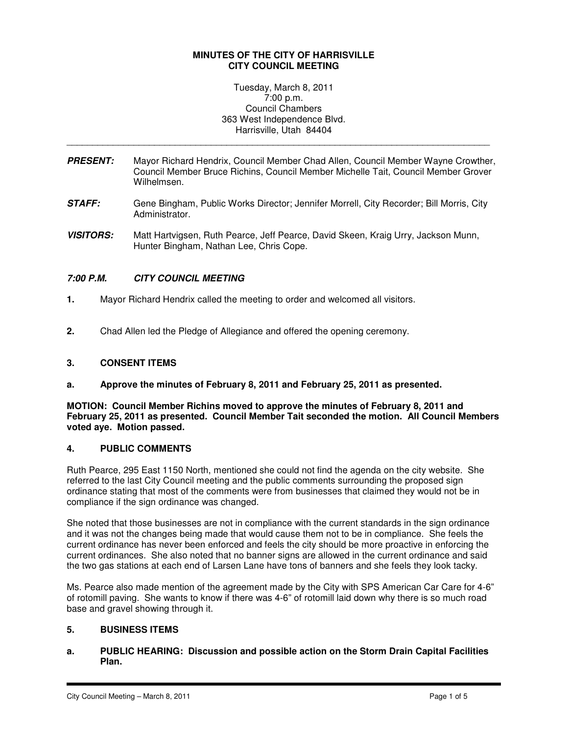## **MINUTES OF THE CITY OF HARRISVILLE CITY COUNCIL MEETING**

Tuesday, March 8, 2011 7:00 p.m. Council Chambers 363 West Independence Blvd. Harrisville, Utah 84404

**PRESENT:** Mayor Richard Hendrix, Council Member Chad Allen, Council Member Wayne Crowther, Council Member Bruce Richins, Council Member Michelle Tait, Council Member Grover Wilhelmsen.

\_\_\_\_\_\_\_\_\_\_\_\_\_\_\_\_\_\_\_\_\_\_\_\_\_\_\_\_\_\_\_\_\_\_\_\_\_\_\_\_\_\_\_\_\_\_\_\_\_\_\_\_\_\_\_\_\_\_\_\_\_\_\_\_\_\_\_\_\_\_\_\_\_\_\_\_\_\_\_\_\_\_

- **STAFF:** Gene Bingham, Public Works Director; Jennifer Morrell, City Recorder; Bill Morris, City Administrator.
- **VISITORS:** Matt Hartvigsen, Ruth Pearce, Jeff Pearce, David Skeen, Kraig Urry, Jackson Munn, Hunter Bingham, Nathan Lee, Chris Cope.

# **7:00 P.M. CITY COUNCIL MEETING**

- **1.** Mayor Richard Hendrix called the meeting to order and welcomed all visitors.
- **2.** Chad Allen led the Pledge of Allegiance and offered the opening ceremony.

## **3. CONSENT ITEMS**

**a. Approve the minutes of February 8, 2011 and February 25, 2011 as presented.**

**MOTION: Council Member Richins moved to approve the minutes of February 8, 2011 and February 25, 2011 as presented. Council Member Tait seconded the motion. All Council Members voted aye. Motion passed.** 

# **4. PUBLIC COMMENTS**

Ruth Pearce, 295 East 1150 North, mentioned she could not find the agenda on the city website. She referred to the last City Council meeting and the public comments surrounding the proposed sign ordinance stating that most of the comments were from businesses that claimed they would not be in compliance if the sign ordinance was changed.

She noted that those businesses are not in compliance with the current standards in the sign ordinance and it was not the changes being made that would cause them not to be in compliance. She feels the current ordinance has never been enforced and feels the city should be more proactive in enforcing the current ordinances. She also noted that no banner signs are allowed in the current ordinance and said the two gas stations at each end of Larsen Lane have tons of banners and she feels they look tacky.

Ms. Pearce also made mention of the agreement made by the City with SPS American Car Care for 4-6" of rotomill paving. She wants to know if there was 4-6" of rotomill laid down why there is so much road base and gravel showing through it.

# **5. BUSINESS ITEMS**

**a. PUBLIC HEARING: Discussion and possible action on the Storm Drain Capital Facilities Plan.**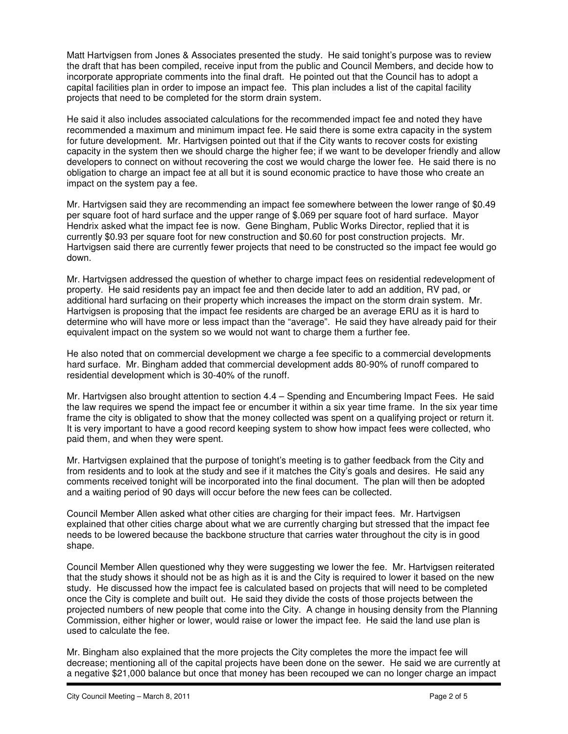Matt Hartvigsen from Jones & Associates presented the study. He said tonight's purpose was to review the draft that has been compiled, receive input from the public and Council Members, and decide how to incorporate appropriate comments into the final draft. He pointed out that the Council has to adopt a capital facilities plan in order to impose an impact fee. This plan includes a list of the capital facility projects that need to be completed for the storm drain system.

He said it also includes associated calculations for the recommended impact fee and noted they have recommended a maximum and minimum impact fee. He said there is some extra capacity in the system for future development. Mr. Hartvigsen pointed out that if the City wants to recover costs for existing capacity in the system then we should charge the higher fee; if we want to be developer friendly and allow developers to connect on without recovering the cost we would charge the lower fee. He said there is no obligation to charge an impact fee at all but it is sound economic practice to have those who create an impact on the system pay a fee.

Mr. Hartvigsen said they are recommending an impact fee somewhere between the lower range of \$0.49 per square foot of hard surface and the upper range of \$.069 per square foot of hard surface. Mayor Hendrix asked what the impact fee is now. Gene Bingham, Public Works Director, replied that it is currently \$0.93 per square foot for new construction and \$0.60 for post construction projects. Mr. Hartvigsen said there are currently fewer projects that need to be constructed so the impact fee would go down.

Mr. Hartvigsen addressed the question of whether to charge impact fees on residential redevelopment of property. He said residents pay an impact fee and then decide later to add an addition, RV pad, or additional hard surfacing on their property which increases the impact on the storm drain system. Mr. Hartvigsen is proposing that the impact fee residents are charged be an average ERU as it is hard to determine who will have more or less impact than the "average". He said they have already paid for their equivalent impact on the system so we would not want to charge them a further fee.

He also noted that on commercial development we charge a fee specific to a commercial developments hard surface. Mr. Bingham added that commercial development adds 80-90% of runoff compared to residential development which is 30-40% of the runoff.

Mr. Hartvigsen also brought attention to section 4.4 – Spending and Encumbering Impact Fees. He said the law requires we spend the impact fee or encumber it within a six year time frame. In the six year time frame the city is obligated to show that the money collected was spent on a qualifying project or return it. It is very important to have a good record keeping system to show how impact fees were collected, who paid them, and when they were spent.

Mr. Hartvigsen explained that the purpose of tonight's meeting is to gather feedback from the City and from residents and to look at the study and see if it matches the City's goals and desires. He said any comments received tonight will be incorporated into the final document. The plan will then be adopted and a waiting period of 90 days will occur before the new fees can be collected.

Council Member Allen asked what other cities are charging for their impact fees. Mr. Hartvigsen explained that other cities charge about what we are currently charging but stressed that the impact fee needs to be lowered because the backbone structure that carries water throughout the city is in good shape.

Council Member Allen questioned why they were suggesting we lower the fee. Mr. Hartvigsen reiterated that the study shows it should not be as high as it is and the City is required to lower it based on the new study. He discussed how the impact fee is calculated based on projects that will need to be completed once the City is complete and built out. He said they divide the costs of those projects between the projected numbers of new people that come into the City. A change in housing density from the Planning Commission, either higher or lower, would raise or lower the impact fee. He said the land use plan is used to calculate the fee.

Mr. Bingham also explained that the more projects the City completes the more the impact fee will decrease; mentioning all of the capital projects have been done on the sewer. He said we are currently at a negative \$21,000 balance but once that money has been recouped we can no longer charge an impact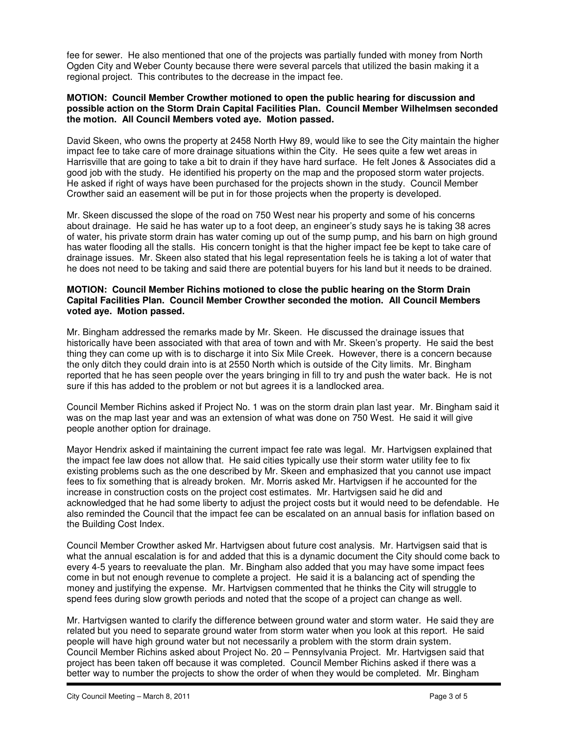fee for sewer. He also mentioned that one of the projects was partially funded with money from North Ogden City and Weber County because there were several parcels that utilized the basin making it a regional project. This contributes to the decrease in the impact fee.

#### **MOTION: Council Member Crowther motioned to open the public hearing for discussion and possible action on the Storm Drain Capital Facilities Plan. Council Member Wilhelmsen seconded the motion. All Council Members voted aye. Motion passed.**

David Skeen, who owns the property at 2458 North Hwy 89, would like to see the City maintain the higher impact fee to take care of more drainage situations within the City. He sees quite a few wet areas in Harrisville that are going to take a bit to drain if they have hard surface. He felt Jones & Associates did a good job with the study. He identified his property on the map and the proposed storm water projects. He asked if right of ways have been purchased for the projects shown in the study. Council Member Crowther said an easement will be put in for those projects when the property is developed.

Mr. Skeen discussed the slope of the road on 750 West near his property and some of his concerns about drainage. He said he has water up to a foot deep, an engineer's study says he is taking 38 acres of water, his private storm drain has water coming up out of the sump pump, and his barn on high ground has water flooding all the stalls. His concern tonight is that the higher impact fee be kept to take care of drainage issues. Mr. Skeen also stated that his legal representation feels he is taking a lot of water that he does not need to be taking and said there are potential buyers for his land but it needs to be drained.

## **MOTION: Council Member Richins motioned to close the public hearing on the Storm Drain Capital Facilities Plan. Council Member Crowther seconded the motion. All Council Members voted aye. Motion passed.**

Mr. Bingham addressed the remarks made by Mr. Skeen. He discussed the drainage issues that historically have been associated with that area of town and with Mr. Skeen's property. He said the best thing they can come up with is to discharge it into Six Mile Creek. However, there is a concern because the only ditch they could drain into is at 2550 North which is outside of the City limits. Mr. Bingham reported that he has seen people over the years bringing in fill to try and push the water back. He is not sure if this has added to the problem or not but agrees it is a landlocked area.

Council Member Richins asked if Project No. 1 was on the storm drain plan last year. Mr. Bingham said it was on the map last year and was an extension of what was done on 750 West. He said it will give people another option for drainage.

Mayor Hendrix asked if maintaining the current impact fee rate was legal. Mr. Hartvigsen explained that the impact fee law does not allow that. He said cities typically use their storm water utility fee to fix existing problems such as the one described by Mr. Skeen and emphasized that you cannot use impact fees to fix something that is already broken. Mr. Morris asked Mr. Hartvigsen if he accounted for the increase in construction costs on the project cost estimates. Mr. Hartvigsen said he did and acknowledged that he had some liberty to adjust the project costs but it would need to be defendable. He also reminded the Council that the impact fee can be escalated on an annual basis for inflation based on the Building Cost Index.

Council Member Crowther asked Mr. Hartvigsen about future cost analysis. Mr. Hartvigsen said that is what the annual escalation is for and added that this is a dynamic document the City should come back to every 4-5 years to reevaluate the plan. Mr. Bingham also added that you may have some impact fees come in but not enough revenue to complete a project. He said it is a balancing act of spending the money and justifying the expense. Mr. Hartvigsen commented that he thinks the City will struggle to spend fees during slow growth periods and noted that the scope of a project can change as well.

Mr. Hartvigsen wanted to clarify the difference between ground water and storm water. He said they are related but you need to separate ground water from storm water when you look at this report. He said people will have high ground water but not necessarily a problem with the storm drain system. Council Member Richins asked about Project No. 20 – Pennsylvania Project. Mr. Hartvigsen said that project has been taken off because it was completed. Council Member Richins asked if there was a better way to number the projects to show the order of when they would be completed. Mr. Bingham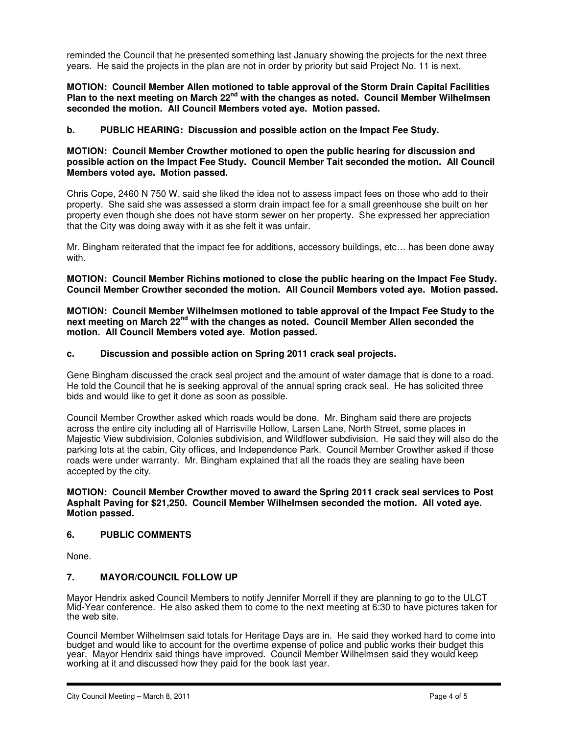reminded the Council that he presented something last January showing the projects for the next three years. He said the projects in the plan are not in order by priority but said Project No. 11 is next.

## **MOTION: Council Member Allen motioned to table approval of the Storm Drain Capital Facilities Plan to the next meeting on March 22nd with the changes as noted. Council Member Wilhelmsen seconded the motion. All Council Members voted aye. Motion passed.**

## **b. PUBLIC HEARING: Discussion and possible action on the Impact Fee Study.**

## **MOTION: Council Member Crowther motioned to open the public hearing for discussion and possible action on the Impact Fee Study. Council Member Tait seconded the motion. All Council Members voted aye. Motion passed.**

Chris Cope, 2460 N 750 W, said she liked the idea not to assess impact fees on those who add to their property. She said she was assessed a storm drain impact fee for a small greenhouse she built on her property even though she does not have storm sewer on her property. She expressed her appreciation that the City was doing away with it as she felt it was unfair.

Mr. Bingham reiterated that the impact fee for additions, accessory buildings, etc… has been done away with.

**MOTION: Council Member Richins motioned to close the public hearing on the Impact Fee Study. Council Member Crowther seconded the motion. All Council Members voted aye. Motion passed.** 

**MOTION: Council Member Wilhelmsen motioned to table approval of the Impact Fee Study to the next meeting on March 22nd with the changes as noted. Council Member Allen seconded the motion. All Council Members voted aye. Motion passed.** 

#### **c. Discussion and possible action on Spring 2011 crack seal projects.**

Gene Bingham discussed the crack seal project and the amount of water damage that is done to a road. He told the Council that he is seeking approval of the annual spring crack seal. He has solicited three bids and would like to get it done as soon as possible.

Council Member Crowther asked which roads would be done. Mr. Bingham said there are projects across the entire city including all of Harrisville Hollow, Larsen Lane, North Street, some places in Majestic View subdivision, Colonies subdivision, and Wildflower subdivision. He said they will also do the parking lots at the cabin, City offices, and Independence Park. Council Member Crowther asked if those roads were under warranty. Mr. Bingham explained that all the roads they are sealing have been accepted by the city.

#### **MOTION: Council Member Crowther moved to award the Spring 2011 crack seal services to Post Asphalt Paving for \$21,250. Council Member Wilhelmsen seconded the motion. All voted aye. Motion passed.**

#### **6. PUBLIC COMMENTS**

None.

#### **7. MAYOR/COUNCIL FOLLOW UP**

Mayor Hendrix asked Council Members to notify Jennifer Morrell if they are planning to go to the ULCT Mid-Year conference. He also asked them to come to the next meeting at 6:30 to have pictures taken for the web site.

Council Member Wilhelmsen said totals for Heritage Days are in. He said they worked hard to come into budget and would like to account for the overtime expense of police and public works their budget this year. Mayor Hendrix said things have improved. Council Member Wilhelmsen said they would keep working at it and discussed how they paid for the book last year.